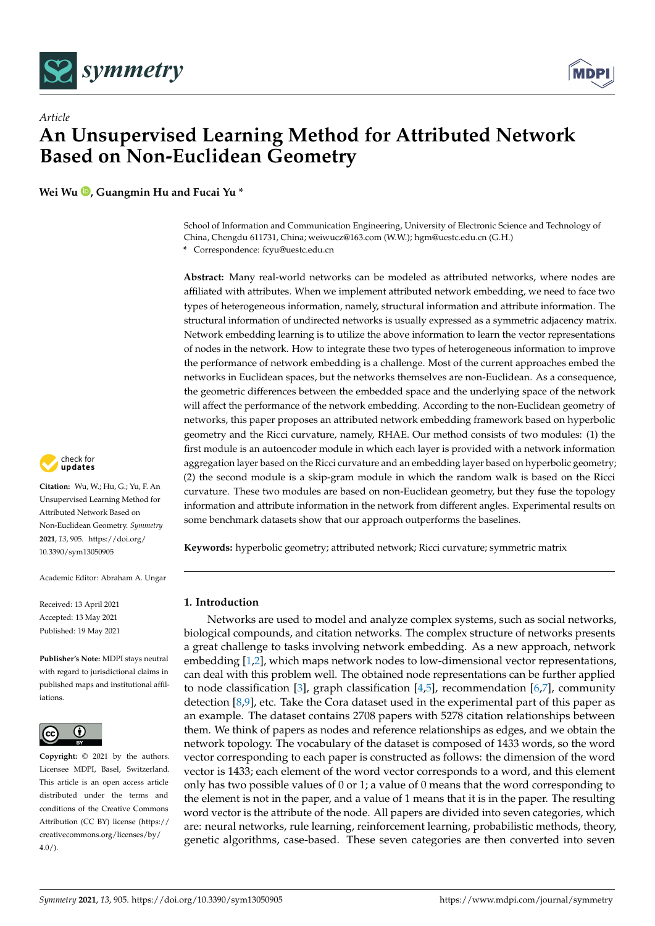

*Article*



# **An Unsupervised Learning Method for Attributed Network Based on Non-Euclidean Geometry**

**Wei Wu [,](https://orcid.org/0000-0001-5938-9004) Guangmin Hu and Fucai Yu \***

School of Information and Communication Engineering, University of Electronic Science and Technology of China, Chengdu 611731, China; weiwucz@163.com (W.W.); hgm@uestc.edu.cn (G.H.) **\*** Correspondence: fcyu@uestc.edu.cn

**Abstract:** Many real-world networks can be modeled as attributed networks, where nodes are affiliated with attributes. When we implement attributed network embedding, we need to face two types of heterogeneous information, namely, structural information and attribute information. The structural information of undirected networks is usually expressed as a symmetric adjacency matrix. Network embedding learning is to utilize the above information to learn the vector representations of nodes in the network. How to integrate these two types of heterogeneous information to improve the performance of network embedding is a challenge. Most of the current approaches embed the networks in Euclidean spaces, but the networks themselves are non-Euclidean. As a consequence, the geometric differences between the embedded space and the underlying space of the network will affect the performance of the network embedding. According to the non-Euclidean geometry of networks, this paper proposes an attributed network embedding framework based on hyperbolic geometry and the Ricci curvature, namely, RHAE. Our method consists of two modules: (1) the first module is an autoencoder module in which each layer is provided with a network information aggregation layer based on the Ricci curvature and an embedding layer based on hyperbolic geometry; (2) the second module is a skip-gram module in which the random walk is based on the Ricci curvature. These two modules are based on non-Euclidean geometry, but they fuse the topology information and attribute information in the network from different angles. Experimental results on some benchmark datasets show that our approach outperforms the baselines.

**Keywords:** hyperbolic geometry; attributed network; Ricci curvature; symmetric matrix

# **1. Introduction**

Networks are used to model and analyze complex systems, such as social networks, biological compounds, and citation networks. The complex structure of networks presents a great challenge to tasks involving network embedding. As a new approach, network embedding [\[1](#page-15-0)[,2\]](#page-15-1), which maps network nodes to low-dimensional vector representations, can deal with this problem well. The obtained node representations can be further applied to node classification [\[3\]](#page-15-2), graph classification  $[4,5]$  $[4,5]$ , recommendation  $[6,7]$  $[6,7]$ , community detection [\[8](#page-15-7)[,9\]](#page-15-8), etc. Take the Cora dataset used in the experimental part of this paper as an example. The dataset contains 2708 papers with 5278 citation relationships between them. We think of papers as nodes and reference relationships as edges, and we obtain the network topology. The vocabulary of the dataset is composed of 1433 words, so the word vector corresponding to each paper is constructed as follows: the dimension of the word vector is 1433; each element of the word vector corresponds to a word, and this element only has two possible values of 0 or 1; a value of 0 means that the word corresponding to the element is not in the paper, and a value of 1 means that it is in the paper. The resulting word vector is the attribute of the node. All papers are divided into seven categories, which are: neural networks, rule learning, reinforcement learning, probabilistic methods, theory, genetic algorithms, case-based. These seven categories are then converted into seven



**Citation:** Wu, W.; Hu, G.; Yu, F. An Unsupervised Learning Method for Attributed Network Based on Non-Euclidean Geometry. *Symmetry* **2021**, *13*, 905. [https://doi.org/](https://doi.org/10.3390/sym13050905) [10.3390/sym13050905](https://doi.org/10.3390/sym13050905)

Academic Editor: Abraham A. Ungar

Received: 13 April 2021 Accepted: 13 May 2021 Published: 19 May 2021

**Publisher's Note:** MDPI stays neutral with regard to jurisdictional claims in published maps and institutional affiliations.



**Copyright:** © 2021 by the authors. Licensee MDPI, Basel, Switzerland. This article is an open access article distributed under the terms and conditions of the Creative Commons Attribution (CC BY) license (https:/[/](https://creativecommons.org/licenses/by/4.0/) [creativecommons.org/licenses/by/](https://creativecommons.org/licenses/by/4.0/)  $4.0/$ ).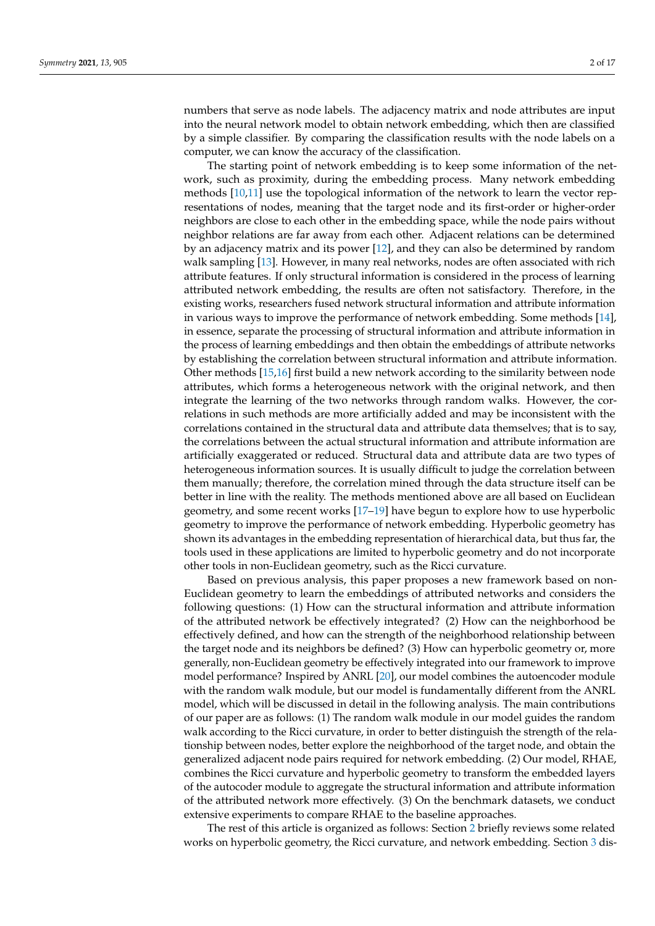numbers that serve as node labels. The adjacency matrix and node attributes are input into the neural network model to obtain network embedding, which then are classified by a simple classifier. By comparing the classification results with the node labels on a computer, we can know the accuracy of the classification.

The starting point of network embedding is to keep some information of the network, such as proximity, during the embedding process. Many network embedding methods [\[10](#page-15-9)[,11\]](#page-15-10) use the topological information of the network to learn the vector representations of nodes, meaning that the target node and its first-order or higher-order neighbors are close to each other in the embedding space, while the node pairs without neighbor relations are far away from each other. Adjacent relations can be determined by an adjacency matrix and its power [\[12\]](#page-15-11), and they can also be determined by random walk sampling [\[13\]](#page-15-12). However, in many real networks, nodes are often associated with rich attribute features. If only structural information is considered in the process of learning attributed network embedding, the results are often not satisfactory. Therefore, in the existing works, researchers fused network structural information and attribute information in various ways to improve the performance of network embedding. Some methods [\[14\]](#page-15-13), in essence, separate the processing of structural information and attribute information in the process of learning embeddings and then obtain the embeddings of attribute networks by establishing the correlation between structural information and attribute information. Other methods [\[15](#page-15-14)[,16\]](#page-15-15) first build a new network according to the similarity between node attributes, which forms a heterogeneous network with the original network, and then integrate the learning of the two networks through random walks. However, the correlations in such methods are more artificially added and may be inconsistent with the correlations contained in the structural data and attribute data themselves; that is to say, the correlations between the actual structural information and attribute information are artificially exaggerated or reduced. Structural data and attribute data are two types of heterogeneous information sources. It is usually difficult to judge the correlation between them manually; therefore, the correlation mined through the data structure itself can be better in line with the reality. The methods mentioned above are all based on Euclidean geometry, and some recent works [\[17–](#page-15-16)[19\]](#page-15-17) have begun to explore how to use hyperbolic geometry to improve the performance of network embedding. Hyperbolic geometry has shown its advantages in the embedding representation of hierarchical data, but thus far, the tools used in these applications are limited to hyperbolic geometry and do not incorporate other tools in non-Euclidean geometry, such as the Ricci curvature.

Based on previous analysis, this paper proposes a new framework based on non-Euclidean geometry to learn the embeddings of attributed networks and considers the following questions: (1) How can the structural information and attribute information of the attributed network be effectively integrated? (2) How can the neighborhood be effectively defined, and how can the strength of the neighborhood relationship between the target node and its neighbors be defined? (3) How can hyperbolic geometry or, more generally, non-Euclidean geometry be effectively integrated into our framework to improve model performance? Inspired by ANRL [\[20\]](#page-15-18), our model combines the autoencoder module with the random walk module, but our model is fundamentally different from the ANRL model, which will be discussed in detail in the following analysis. The main contributions of our paper are as follows: (1) The random walk module in our model guides the random walk according to the Ricci curvature, in order to better distinguish the strength of the relationship between nodes, better explore the neighborhood of the target node, and obtain the generalized adjacent node pairs required for network embedding. (2) Our model, RHAE, combines the Ricci curvature and hyperbolic geometry to transform the embedded layers of the autocoder module to aggregate the structural information and attribute information of the attributed network more effectively. (3) On the benchmark datasets, we conduct extensive experiments to compare RHAE to the baseline approaches.

The rest of this article is organized as follows: Section [2](#page-2-0) briefly reviews some related works on hyperbolic geometry, the Ricci curvature, and network embedding. Section [3](#page-5-0) dis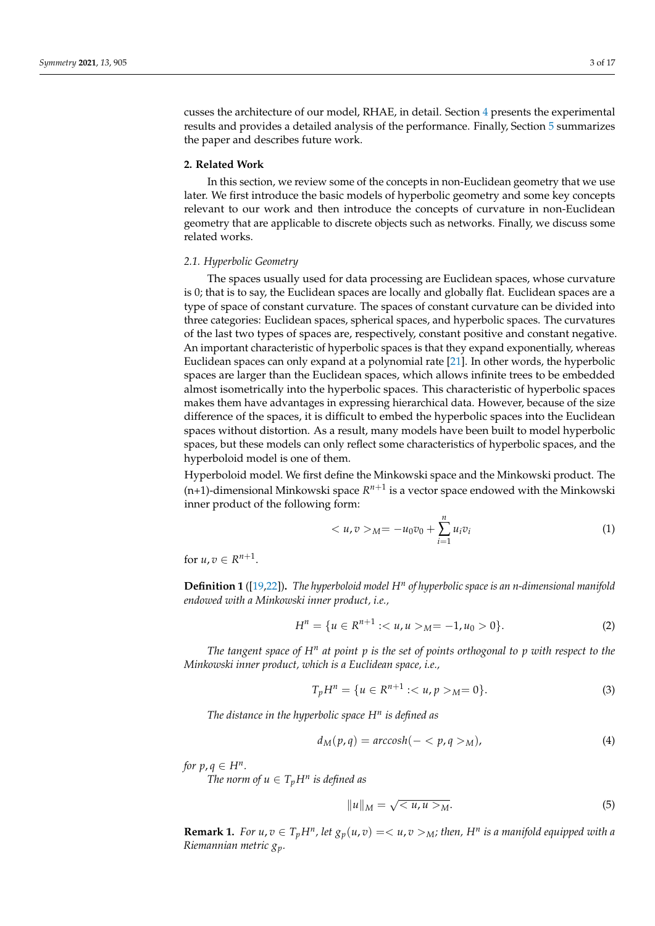cusses the architecture of our model, RHAE, in detail. Section [4](#page-10-0) presents the experimental results and provides a detailed analysis of the performance. Finally, Section [5](#page-14-0) summarizes the paper and describes future work.

### <span id="page-2-0"></span>**2. Related Work**

In this section, we review some of the concepts in non-Euclidean geometry that we use later. We first introduce the basic models of hyperbolic geometry and some key concepts relevant to our work and then introduce the concepts of curvature in non-Euclidean geometry that are applicable to discrete objects such as networks. Finally, we discuss some related works.

#### *2.1. Hyperbolic Geometry*

The spaces usually used for data processing are Euclidean spaces, whose curvature is 0; that is to say, the Euclidean spaces are locally and globally flat. Euclidean spaces are a type of space of constant curvature. The spaces of constant curvature can be divided into three categories: Euclidean spaces, spherical spaces, and hyperbolic spaces. The curvatures of the last two types of spaces are, respectively, constant positive and constant negative. An important characteristic of hyperbolic spaces is that they expand exponentially, whereas Euclidean spaces can only expand at a polynomial rate [\[21\]](#page-15-19). In other words, the hyperbolic spaces are larger than the Euclidean spaces, which allows infinite trees to be embedded almost isometrically into the hyperbolic spaces. This characteristic of hyperbolic spaces makes them have advantages in expressing hierarchical data. However, because of the size difference of the spaces, it is difficult to embed the hyperbolic spaces into the Euclidean spaces without distortion. As a result, many models have been built to model hyperbolic spaces, but these models can only reflect some characteristics of hyperbolic spaces, and the hyperboloid model is one of them.

Hyperboloid model. We first define the Minkowski space and the Minkowski product. The  $(n+1)$ -dimensional Minkowski space  $R^{n+1}$  is a vector space endowed with the Minkowski inner product of the following form:

$$
\langle u, v \rangle_M = -u_0 v_0 + \sum_{i=1}^n u_i v_i \tag{1}
$$

for  $u, v \in R^{n+1}$ .

**Definition 1** ([\[19,](#page-15-17)[22\]](#page-15-20))**.** *The hyperboloid model H<sup>n</sup> of hyperbolic space is an n-dimensional manifold endowed with a Minkowski inner product, i.e.,*

$$
H^n = \{ u \in \mathbb{R}^{n+1} : \langle u, u \rangle_M = -1, u_0 > 0 \}. \tag{2}
$$

*The tangent space of H<sup>n</sup> at point p is the set of points orthogonal to p with respect to the Minkowski inner product, which is a Euclidean space, i.e.,*

$$
T_p H^n = \{ u \in R^{n+1} : \langle u, p \rangle_M = 0 \}. \tag{3}
$$

*The distance in the hyperbolic space H<sup>n</sup> is defined as*

$$
d_M(p,q) = \operatorname{arccosh}(-\langle p,q \rangle_M), \tag{4}
$$

*for*  $p, q \in H^n$ .

*The norm of*  $u \in T_pH^n$  *is defined as* 

$$
||u||_M = \sqrt{\langle u, u \rangle_M}.
$$
\n(5)

**Remark 1.** For  $u, v \in T_p H^n$ , let  $g_p(u, v) = \langle u, v \rangle_M$ ; then, H<sup>n</sup> is a manifold equipped with a *Riemannian metric gp.*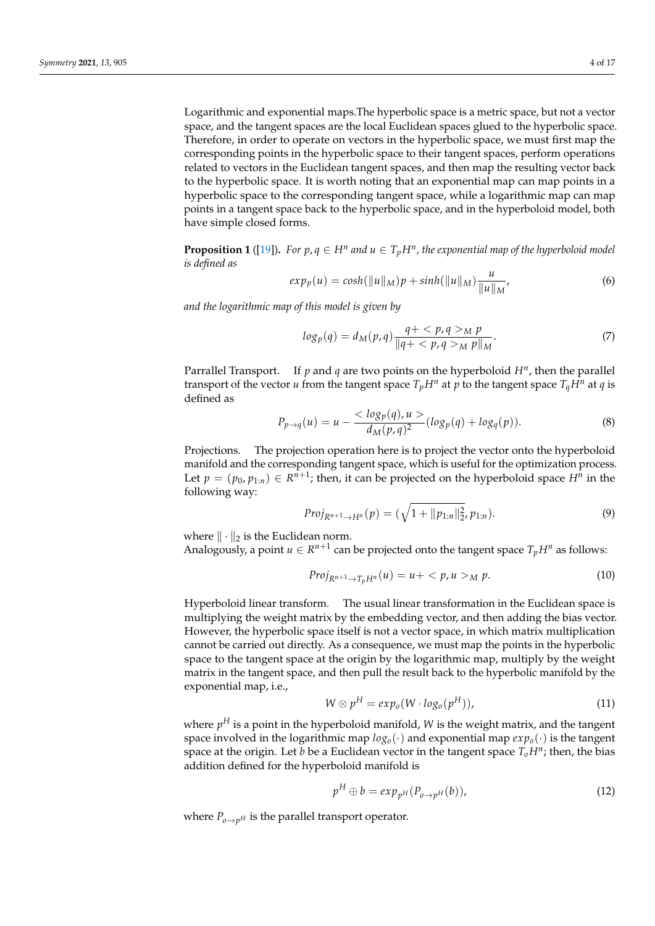Logarithmic and exponential maps.The hyperbolic space is a metric space, but not a vector space, and the tangent spaces are the local Euclidean spaces glued to the hyperbolic space. Therefore, in order to operate on vectors in the hyperbolic space, we must first map the corresponding points in the hyperbolic space to their tangent spaces, perform operations related to vectors in the Euclidean tangent spaces, and then map the resulting vector back to the hyperbolic space. It is worth noting that an exponential map can map points in a hyperbolic space to the corresponding tangent space, while a logarithmic map can map points in a tangent space back to the hyperbolic space, and in the hyperboloid model, both have simple closed forms.

**Proposition 1** ([\[19\]](#page-15-17)). For  $p, q \in H^n$  and  $u \in T_pH^n$ , the exponential map of the hyperboloid model *is defined as*

$$
exp_p(u) = cosh(||u||_M)p + sinh(||u||_M)\frac{u}{||u||_M},
$$
\n(6)

*and the logarithmic map of this model is given by*

$$
log_p(q) = d_M(p,q) \frac{q+ \langle p, q \rangle_M p}{\|q+ \langle p, q \rangle_M p\|_M}.
$$
\n(7)

Parrallel Transport. If *p* and *q* are two points on the hyperboloid *H<sup>n</sup>* , then the parallel transport of the vector *u* from the tangent space  $T_pH^n$  at *p* to the tangent space  $T_qH^n$  at *q* is defined as

$$
P_{p \to q}(u) = u - \frac{<\log_p(q), u>}{d_M(p, q)^2} (\log_p(q) + \log_q(p)).
$$
\n(8)

Projections. The projection operation here is to project the vector onto the hyperboloid manifold and the corresponding tangent space, which is useful for the optimization process. Let  $p = (p_0, p_{1:n}) \in R^{n+1}$ ; then, it can be projected on the hyperboloid space  $H^n$  in the following way:

$$
Proj_{R^{n+1}\to H^{n}}(p) = (\sqrt{1 + ||p_{1:n}||_{2}^{2}}, p_{1:n}).
$$
\n(9)

where  $\|\cdot\|_2$  is the Euclidean norm.

Analogously, a point  $u \in R^{n+1}$  can be projected onto the tangent space  $T_p H^n$  as follows:

$$
Proj_{R^{n+1}\to T_pH^n}(u) = u + \langle p, u \rangle_M p. \tag{10}
$$

Hyperboloid linear transform. The usual linear transformation in the Euclidean space is multiplying the weight matrix by the embedding vector, and then adding the bias vector. However, the hyperbolic space itself is not a vector space, in which matrix multiplication cannot be carried out directly. As a consequence, we must map the points in the hyperbolic space to the tangent space at the origin by the logarithmic map, multiply by the weight matrix in the tangent space, and then pull the result back to the hyperbolic manifold by the exponential map, i.e.,

$$
W \otimes p^H = exp_o(W \cdot log_o(p^H)), \qquad (11)
$$

where  $p^H$  is a point in the hyperboloid manifold,  $W$  is the weight matrix, and the tangent space involved in the logarithmic map  $log<sub>o</sub>(·)$  and exponential map  $exp<sub>o</sub>(·)$  is the tangent space at the origin. Let *b* be a Euclidean vector in the tangent space *ToH<sup>n</sup>* ; then, the bias addition defined for the hyperboloid manifold is

<span id="page-3-0"></span>
$$
p^H \oplus b = exp_{p^H}(P_{o \to p^H}(b)), \qquad (12)
$$

where  $P_{o\rightarrow pH}$  is the parallel transport operator.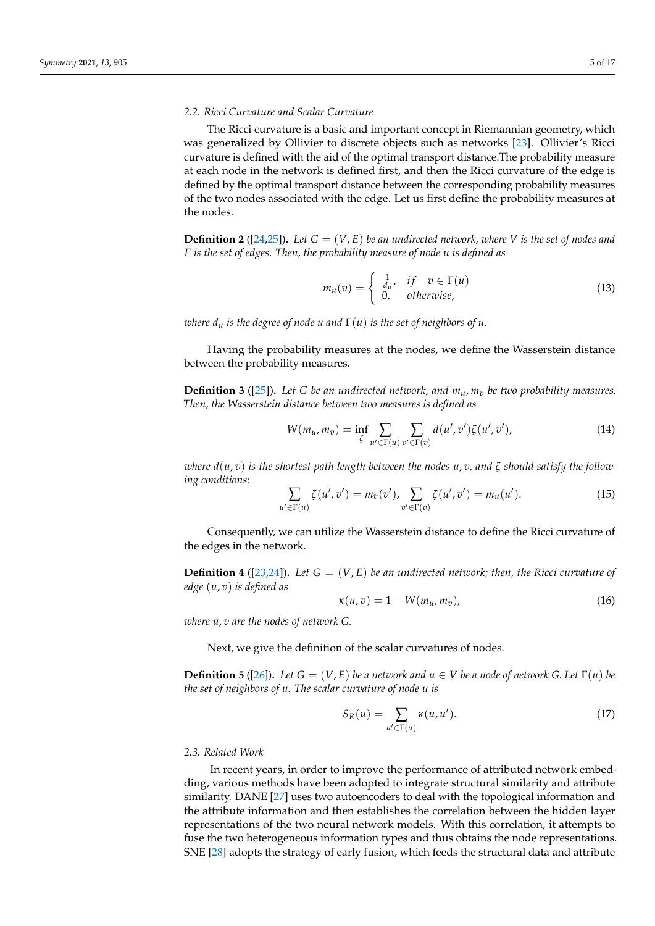## *2.2. Ricci Curvature and Scalar Curvature*

The Ricci curvature is a basic and important concept in Riemannian geometry, which was generalized by Ollivier to discrete objects such as networks [\[23\]](#page-15-21). Ollivier's Ricci curvature is defined with the aid of the optimal transport distance.The probability measure at each node in the network is defined first, and then the Ricci curvature of the edge is defined by the optimal transport distance between the corresponding probability measures of the two nodes associated with the edge. Let us first define the probability measures at the nodes.

**Definition 2** ([\[24,](#page-15-22)[25\]](#page-15-23)). Let  $G = (V, E)$  be an undirected network, where V is the set of nodes and *E is the set of edges. Then, the probability measure of node u is defined as*

$$
m_u(v) = \begin{cases} \frac{1}{d_u}, & if \quad v \in \Gamma(u) \\ 0, & otherwise, \end{cases}
$$
 (13)

*where*  $d_u$  *is the degree of node u and*  $\Gamma(u)$  *is the set of neighbors of u.* 

Having the probability measures at the nodes, we define the Wasserstein distance between the probability measures.

**Definition 3** ([\[25\]](#page-15-23))**.** *Let G be an undirected network, and mu*, *m<sup>v</sup> be two probability measures. Then, the Wasserstein distance between two measures is defined as*

$$
W(m_u, m_v) = \inf_{\zeta} \sum_{u' \in \Gamma(u)} \sum_{v' \in \Gamma(v)} d(u', v') \zeta(u', v'), \qquad (14)
$$

*where*  $d(u, v)$  *is the shortest path length between the nodes*  $u, v$ , and  $\zeta$  *should satisfy the following conditions:*

$$
\sum_{u' \in \Gamma(u)} \zeta(u', v') = m_v(v'), \sum_{v' \in \Gamma(v)} \zeta(u', v') = m_u(u'). \tag{15}
$$

Consequently, we can utilize the Wasserstein distance to define the Ricci curvature of the edges in the network.

**Definition 4** ([\[23,](#page-15-21)[24\]](#page-15-22)). Let  $G = (V, E)$  be an undirected network; then, the Ricci curvature of *edge* (*u*, *v*) *is defined as*

$$
\kappa(u,v) = 1 - W(m_u, m_v), \qquad (16)
$$

*where u*, *v are the nodes of network G.*

Next, we give the definition of the scalar curvatures of nodes.

**Definition 5** ([\[26\]](#page-15-24)). Let  $G = (V, E)$  be a network and  $u \in V$  be a node of network G. Let  $\Gamma(u)$  be *the set of neighbors of u. The scalar curvature of node u is*

$$
S_R(u) = \sum_{u' \in \Gamma(u)} \kappa(u, u'). \tag{17}
$$

#### *2.3. Related Work*

In recent years, in order to improve the performance of attributed network embedding, various methods have been adopted to integrate structural similarity and attribute similarity. DANE [\[27\]](#page-15-25) uses two autoencoders to deal with the topological information and the attribute information and then establishes the correlation between the hidden layer representations of the two neural network models. With this correlation, it attempts to fuse the two heterogeneous information types and thus obtains the node representations. SNE [\[28\]](#page-16-0) adopts the strategy of early fusion, which feeds the structural data and attribute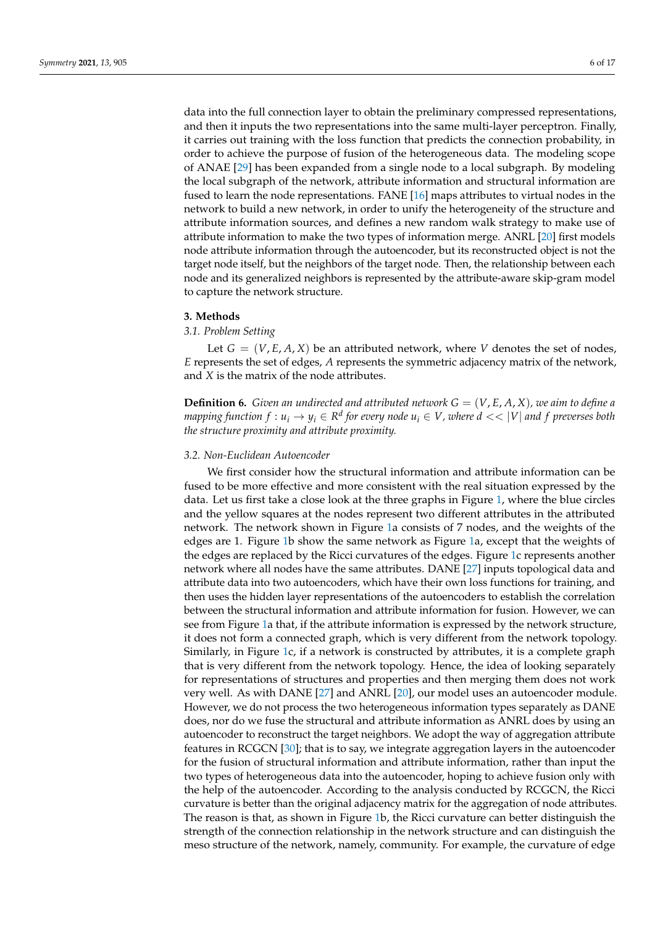data into the full connection layer to obtain the preliminary compressed representations, and then it inputs the two representations into the same multi-layer perceptron. Finally, it carries out training with the loss function that predicts the connection probability, in order to achieve the purpose of fusion of the heterogeneous data. The modeling scope of ANAE [\[29\]](#page-16-1) has been expanded from a single node to a local subgraph. By modeling the local subgraph of the network, attribute information and structural information are fused to learn the node representations. FANE [\[16\]](#page-15-15) maps attributes to virtual nodes in the network to build a new network, in order to unify the heterogeneity of the structure and attribute information sources, and defines a new random walk strategy to make use of attribute information to make the two types of information merge. ANRL [\[20\]](#page-15-18) first models node attribute information through the autoencoder, but its reconstructed object is not the target node itself, but the neighbors of the target node. Then, the relationship between each node and its generalized neighbors is represented by the attribute-aware skip-gram model to capture the network structure.

#### <span id="page-5-0"></span>**3. Methods**

# *3.1. Problem Setting*

Let  $G = (V, E, A, X)$  be an attributed network, where V denotes the set of nodes, *E* represents the set of edges, *A* represents the symmetric adjacency matrix of the network, and *X* is the matrix of the node attributes.

**Definition 6.** *Given an undirected and attributed network*  $G = (V, E, A, X)$ *, we aim to define a mapping function*  $f: u_i \to y_i \in \mathbb{R}^d$  *for every node*  $u_i \in V$ *, where*  $d << |V|$  *and*  $f$  *preverses both the structure proximity and attribute proximity.*

## *3.2. Non-Euclidean Autoencoder*

We first consider how the structural information and attribute information can be fused to be more effective and more consistent with the real situation expressed by the data. Let us first take a close look at the three graphs in Figure [1,](#page-6-0) where the blue circles and the yellow squares at the nodes represent two different attributes in the attributed network. The network shown in Figure [1a](#page-6-0) consists of 7 nodes, and the weights of the edges are 1. Figure [1b](#page-6-0) show the same network as Figure [1a](#page-6-0), except that the weights of the edges are replaced by the Ricci curvatures of the edges. Figure [1c](#page-6-0) represents another network where all nodes have the same attributes. DANE [\[27\]](#page-15-25) inputs topological data and attribute data into two autoencoders, which have their own loss functions for training, and then uses the hidden layer representations of the autoencoders to establish the correlation between the structural information and attribute information for fusion. However, we can see from Figure [1a](#page-6-0) that, if the attribute information is expressed by the network structure, it does not form a connected graph, which is very different from the network topology. Similarly, in Figure [1c](#page-6-0), if a network is constructed by attributes, it is a complete graph that is very different from the network topology. Hence, the idea of looking separately for representations of structures and properties and then merging them does not work very well. As with DANE [\[27\]](#page-15-25) and ANRL [\[20\]](#page-15-18), our model uses an autoencoder module. However, we do not process the two heterogeneous information types separately as DANE does, nor do we fuse the structural and attribute information as ANRL does by using an autoencoder to reconstruct the target neighbors. We adopt the way of aggregation attribute features in RCGCN [\[30\]](#page-16-2); that is to say, we integrate aggregation layers in the autoencoder for the fusion of structural information and attribute information, rather than input the two types of heterogeneous data into the autoencoder, hoping to achieve fusion only with the help of the autoencoder. According to the analysis conducted by RCGCN, the Ricci curvature is better than the original adjacency matrix for the aggregation of node attributes. The reason is that, as shown in Figure [1b](#page-6-0), the Ricci curvature can better distinguish the strength of the connection relationship in the network structure and can distinguish the meso structure of the network, namely, community. For example, the curvature of edge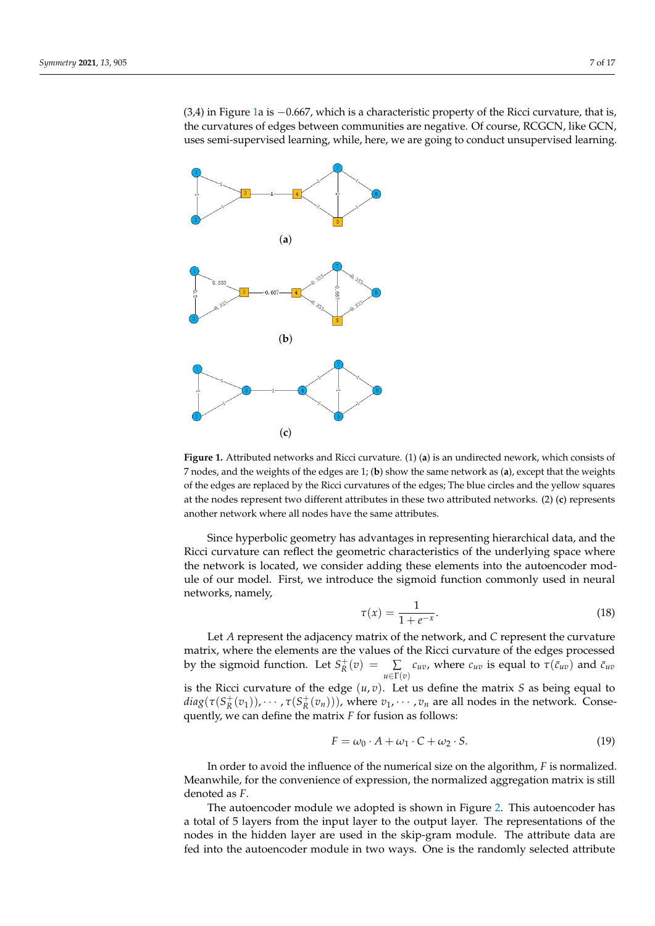(3,4) in Figure [1a](#page-6-0) is −0.667, which is a characteristic property of the Ricci curvature, that is, the curvatures of edges between communities are negative. Of course, RCGCN, like GCN, uses semi-supervised learning, while, here, we are going to conduct unsupervised learning.

<span id="page-6-0"></span>

**Figure 1.** Attributed networks and Ricci curvature. (1) (**a**) is an undirected nework, which consists of 7 nodes, and the weights of the edges are 1; (**b**) show the same network as (**a**), except that the weights of the edges are replaced by the Ricci curvatures of the edges; The blue circles and the yellow squares at the nodes represent two different attributes in these two attributed networks. (2) (**c**) represents another network where all nodes have the same attributes.

Since hyperbolic geometry has advantages in representing hierarchical data, and the Ricci curvature can reflect the geometric characteristics of the underlying space where the network is located, we consider adding these elements into the autoencoder module of our model. First, we introduce the sigmoid function commonly used in neural networks, namely,

$$
\tau(x) = \frac{1}{1 + e^{-x}}.\tag{18}
$$

Let *A* represent the adjacency matrix of the network, and *C* represent the curvature matrix, where the elements are the values of the Ricci curvature of the edges processed by the sigmoid function. Let  $S_R^+(v) = \sum_{n=1}^\infty$  $\sum_{u \in \Gamma(v)} c_{uv}$ , where  $c_{uv}$  is equal to  $\tau(\bar{c}_{uv})$  and  $\bar{c}_{uv}$ is the Ricci curvature of the edge  $(u, v)$ . Let us define the matrix *S* as being equal to

 $diag(\tau(S_R^+(v_1)), \cdots, \tau(S_R^+(v_n)))$ , where  $v_1, \cdots, v_n$  are all nodes in the network. Consequently, we can define the matrix *F* for fusion as follows:

<span id="page-6-1"></span>
$$
F = \omega_0 \cdot A + \omega_1 \cdot C + \omega_2 \cdot S. \tag{19}
$$

In order to avoid the influence of the numerical size on the algorithm, *F* is normalized. Meanwhile, for the convenience of expression, the normalized aggregation matrix is still denoted as *F*.

The autoencoder module we adopted is shown in Figure [2.](#page-7-0) This autoencoder has a total of 5 layers from the input layer to the output layer. The representations of the nodes in the hidden layer are used in the skip-gram module. The attribute data are fed into the autoencoder module in two ways. One is the randomly selected attribute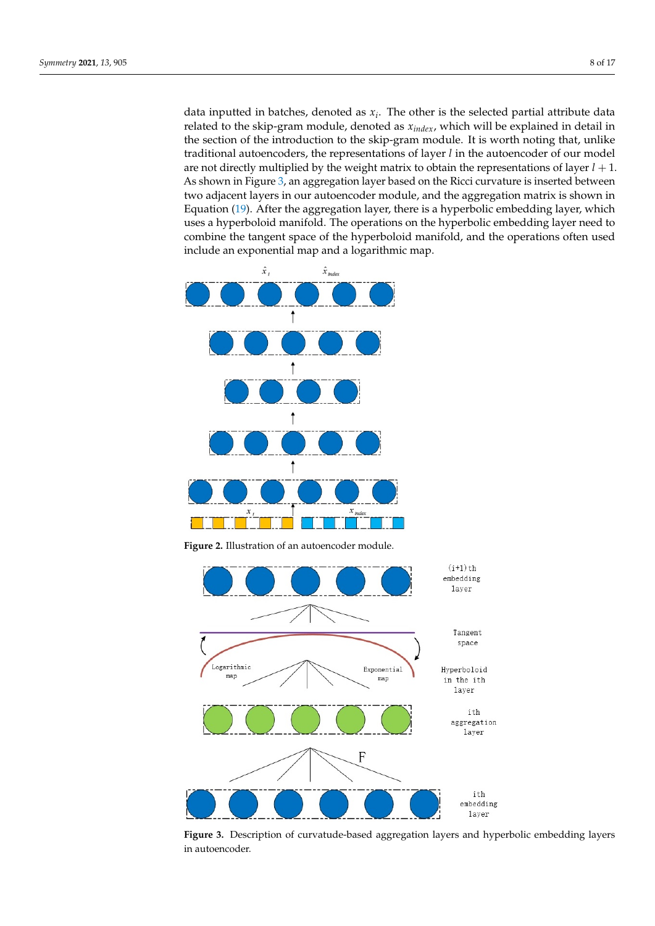data inputted in batches, denoted as *x<sup>i</sup>* . The other is the selected partial attribute data related to the skip-gram module, denoted as *xindex*, which will be explained in detail in the section of the introduction to the skip-gram module. It is worth noting that, unlike traditional autoencoders, the representations of layer *l* in the autoencoder of our model are not directly multiplied by the weight matrix to obtain the representations of layer  $l + 1$ . As shown in Figure [3,](#page-7-1) an aggregation layer based on the Ricci curvature is inserted between two adjacent layers in our autoencoder module, and the aggregation matrix is shown in Equation [\(19\)](#page-6-1). After the aggregation layer, there is a hyperbolic embedding layer, which uses a hyperboloid manifold. The operations on the hyperbolic embedding layer need to combine the tangent space of the hyperboloid manifold, and the operations often used include an exponential map and a logarithmic map.

<span id="page-7-0"></span>

**Figure 2.** Illustration of an autoencoder module.

<span id="page-7-1"></span>

**Figure 3.** Description of curvatude-based aggregation layers and hyperbolic embedding layers in autoencoder.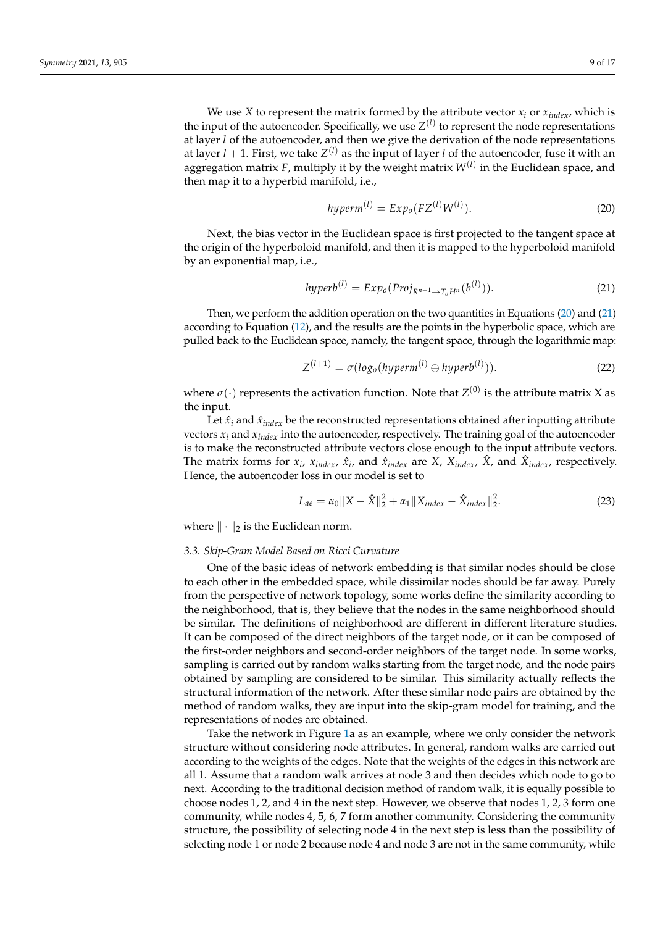We use *X* to represent the matrix formed by the attribute vector  $x_i$  or  $x_{index}$ , which is the input of the autoencoder. Specifically, we use  $Z^{(l)}$  to represent the node representations at layer *l* of the autoencoder, and then we give the derivation of the node representations at layer *l* + 1. First, we take *Z* (*l*) as the input of layer *l* of the autoencoder, fuse it with an aggregation matrix *F*, multiply it by the weight matrix *W*(*l*) in the Euclidean space, and then map it to a hyperbid manifold, i.e.,

<span id="page-8-0"></span>
$$
hyperm(1) = Expo(FZ(1)W(1)).
$$
\n(20)

Next, the bias vector in the Euclidean space is first projected to the tangent space at the origin of the hyperboloid manifold, and then it is mapped to the hyperboloid manifold by an exponential map, i.e.,

<span id="page-8-1"></span>
$$
hyperb^{(l)} = Exp_o(Proj_{R^{n+1}\to T_oH^n}(b^{(l)})).
$$
\n(21)

Then, we perform the addition operation on the two quantities in Equations [\(20\)](#page-8-0) and [\(21\)](#page-8-1) according to Equation [\(12\)](#page-3-0), and the results are the points in the hyperbolic space, which are pulled back to the Euclidean space, namely, the tangent space, through the logarithmic map:

$$
Z^{(l+1)} = \sigma(\log_o(hyperm^{(l)} \oplus hyperb^{(l)})). \tag{22}
$$

where  $\sigma(\cdot)$  represents the activation function. Note that  $Z^{(0)}$  is the attribute matrix X as the input.

Let  $\hat{x}_i$  and  $\hat{x}_{index}$  be the reconstructed representations obtained after inputting attribute vectors  $x_i$  and  $x_{index}$  into the autoencoder, respectively. The training goal of the autoencoder is to make the reconstructed attribute vectors close enough to the input attribute vectors. The matrix forms for  $x_i$ ,  $x_{index}$ ,  $\hat{x}_i$ , and  $\hat{x}_{index}$  are *X*,  $X_{index}$ ,  $\hat{X}$ , and  $\hat{X}_{index}$ , respectively. Hence, the autoencoder loss in our model is set to

<span id="page-8-2"></span>
$$
L_{ae} = \alpha_0 \|X - \hat{X}\|_2^2 + \alpha_1 \|X_{index} - \hat{X}_{index}\|_2^2.
$$
 (23)

where  $\|\cdot\|_2$  is the Euclidean norm.

#### *3.3. Skip-Gram Model Based on Ricci Curvature*

One of the basic ideas of network embedding is that similar nodes should be close to each other in the embedded space, while dissimilar nodes should be far away. Purely from the perspective of network topology, some works define the similarity according to the neighborhood, that is, they believe that the nodes in the same neighborhood should be similar. The definitions of neighborhood are different in different literature studies. It can be composed of the direct neighbors of the target node, or it can be composed of the first-order neighbors and second-order neighbors of the target node. In some works, sampling is carried out by random walks starting from the target node, and the node pairs obtained by sampling are considered to be similar. This similarity actually reflects the structural information of the network. After these similar node pairs are obtained by the method of random walks, they are input into the skip-gram model for training, and the representations of nodes are obtained.

Take the network in Figure [1a](#page-6-0) as an example, where we only consider the network structure without considering node attributes. In general, random walks are carried out according to the weights of the edges. Note that the weights of the edges in this network are all 1. Assume that a random walk arrives at node 3 and then decides which node to go to next. According to the traditional decision method of random walk, it is equally possible to choose nodes 1, 2, and 4 in the next step. However, we observe that nodes 1, 2, 3 form one community, while nodes 4, 5, 6, 7 form another community. Considering the community structure, the possibility of selecting node 4 in the next step is less than the possibility of selecting node 1 or node 2 because node 4 and node 3 are not in the same community, while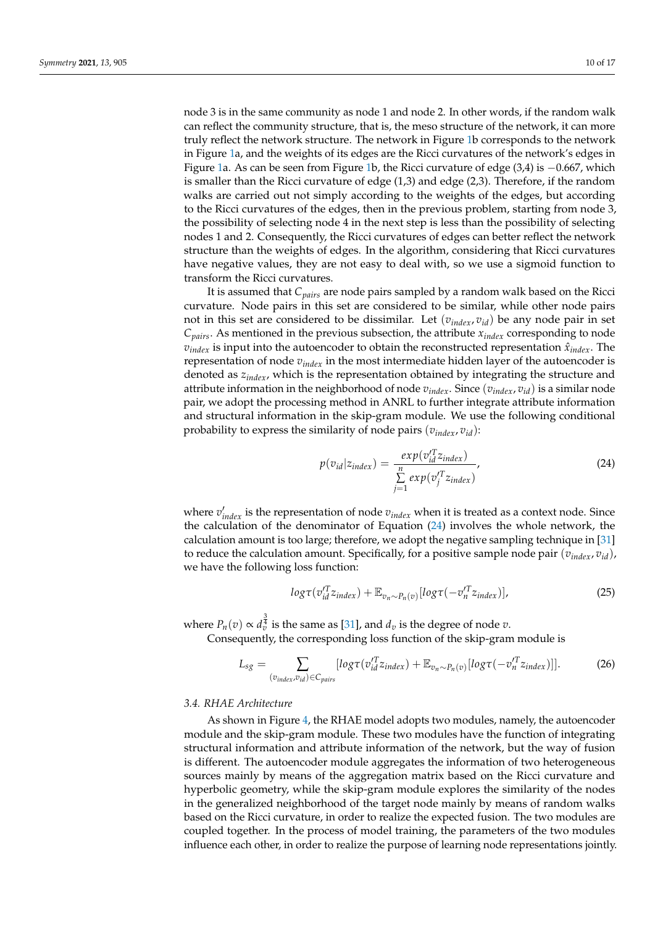node 3 is in the same community as node 1 and node 2. In other words, if the random walk can reflect the community structure, that is, the meso structure of the network, it can more truly reflect the network structure. The network in Figure [1b](#page-6-0) corresponds to the network in Figure [1a](#page-6-0), and the weights of its edges are the Ricci curvatures of the network's edges in Figure [1a](#page-6-0). As can be seen from Figure [1b](#page-6-0), the Ricci curvature of edge (3,4) is −0.667, which is smaller than the Ricci curvature of edge (1,3) and edge (2,3). Therefore, if the random walks are carried out not simply according to the weights of the edges, but according to the Ricci curvatures of the edges, then in the previous problem, starting from node 3, the possibility of selecting node 4 in the next step is less than the possibility of selecting nodes 1 and 2. Consequently, the Ricci curvatures of edges can better reflect the network structure than the weights of edges. In the algorithm, considering that Ricci curvatures have negative values, they are not easy to deal with, so we use a sigmoid function to transform the Ricci curvatures.

It is assumed that *Cpairs* are node pairs sampled by a random walk based on the Ricci curvature. Node pairs in this set are considered to be similar, while other node pairs not in this set are considered to be dissimilar. Let  $(v_{index}, v_{id})$  be any node pair in set  $C_{pairs}$ . As mentioned in the previous subsection, the attribute  $x_{index}$  corresponding to node  $v_{index}$  is input into the autoencoder to obtain the reconstructed representation  $\hat{x}_{index}$ . The representation of node  $v_{index}$  in the most intermediate hidden layer of the autoencoder is denoted as *zindex*, which is the representation obtained by integrating the structure and attribute information in the neighborhood of node *vindex*. Since (*vindex*, *vid*) is a similar node pair, we adopt the processing method in ANRL to further integrate attribute information and structural information in the skip-gram module. We use the following conditional probability to express the similarity of node pairs  $(v_{index}, v_{id})$ :

<span id="page-9-0"></span>
$$
p(v_{id}|z_{index}) = \frac{exp(v_{id}^{\prime T}z_{index})}{\sum_{j=1}^{n} exp(v_{j}^{\prime T}z_{index})},
$$
\n(24)

where  $v'_{index}$  is the representation of node  $v_{index}$  when it is treated as a context node. Since the calculation of the denominator of Equation [\(24\)](#page-9-0) involves the whole network, the calculation amount is too large; therefore, we adopt the negative sampling technique in [\[31\]](#page-16-3) to reduce the calculation amount. Specifically, for a positive sample node pair (*vindex*, *vid*), we have the following loss function:

$$
log\tau(v_{id}^{\prime T}z_{index}) + \mathbb{E}_{v_n \sim P_n(v)}[log\tau(-v_n^{\prime T}z_{index})],
$$
\n(25)

where  $P_n(v) \propto d_v^{\frac{3}{4}}$  is the same as [\[31\]](#page-16-3), and  $d_v$  is the degree of node  $v$ .

Consequently, the corresponding loss function of the skip-gram module is

$$
L_{sg} = \sum_{(v_{index}, v_{id}) \in C_{pairs}} [log\tau(v_{id}^{T}z_{index}) + \mathbb{E}_{v_n \sim P_n(v)}[log\tau(-v_n^{T}z_{index})]].
$$
 (26)

#### *3.4. RHAE Architecture*

As shown in Figure [4,](#page-10-1) the RHAE model adopts two modules, namely, the autoencoder module and the skip-gram module. These two modules have the function of integrating structural information and attribute information of the network, but the way of fusion is different. The autoencoder module aggregates the information of two heterogeneous sources mainly by means of the aggregation matrix based on the Ricci curvature and hyperbolic geometry, while the skip-gram module explores the similarity of the nodes in the generalized neighborhood of the target node mainly by means of random walks based on the Ricci curvature, in order to realize the expected fusion. The two modules are coupled together. In the process of model training, the parameters of the two modules influence each other, in order to realize the purpose of learning node representations jointly.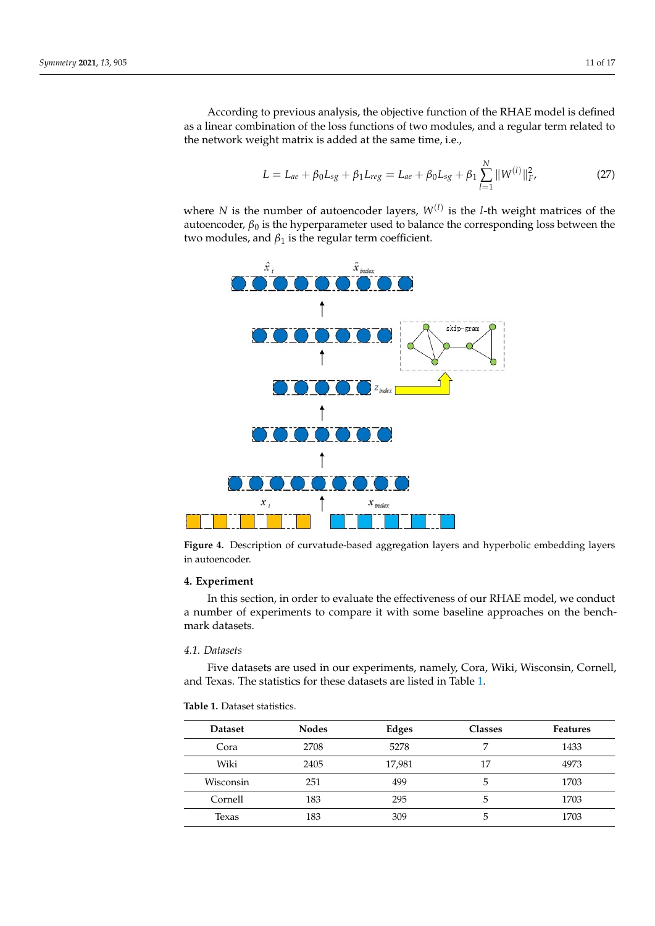According to previous analysis, the objective function of the RHAE model is defined as a linear combination of the loss functions of two modules, and a regular term related to the network weight matrix is added at the same time, i.e.,

<span id="page-10-3"></span>
$$
L = L_{ae} + \beta_0 L_{sg} + \beta_1 L_{reg} = L_{ae} + \beta_0 L_{sg} + \beta_1 \sum_{l=1}^{N} ||W^{(l)}||_F^2,
$$
 (27)

where *N* is the number of autoencoder layers,  $W^{(l)}$  is the *l*-th weight matrices of the autoencoder,  $\beta_0$  is the hyperparameter used to balance the corresponding loss between the two modules, and  $\beta_1$  is the regular term coefficient.

<span id="page-10-1"></span>

**Figure 4.** Description of curvatude-based aggregation layers and hyperbolic embedding layers in autoencoder.

# <span id="page-10-0"></span>**4. Experiment**

In this section, in order to evaluate the effectiveness of our RHAE model, we conduct a number of experiments to compare it with some baseline approaches on the benchmark datasets.

# *4.1. Datasets*

Five datasets are used in our experiments, namely, Cora, Wiki, Wisconsin, Cornell, and Texas. The statistics for these datasets are listed in Table [1.](#page-10-2)

# <span id="page-10-2"></span>**Table 1.** Dataset statistics.

| <b>Dataset</b> | <b>Nodes</b> | Edges  | <b>Classes</b> | <b>Features</b> |
|----------------|--------------|--------|----------------|-----------------|
| Cora           | 2708         | 5278   | 7              | 1433            |
| Wiki           | 2405         | 17,981 | 17             | 4973            |
| Wisconsin      | 251          | 499    | 5              | 1703            |
| Cornell        | 183          | 295    | 5              | 1703            |
| Texas          | 183          | 309    | 5              | 1703            |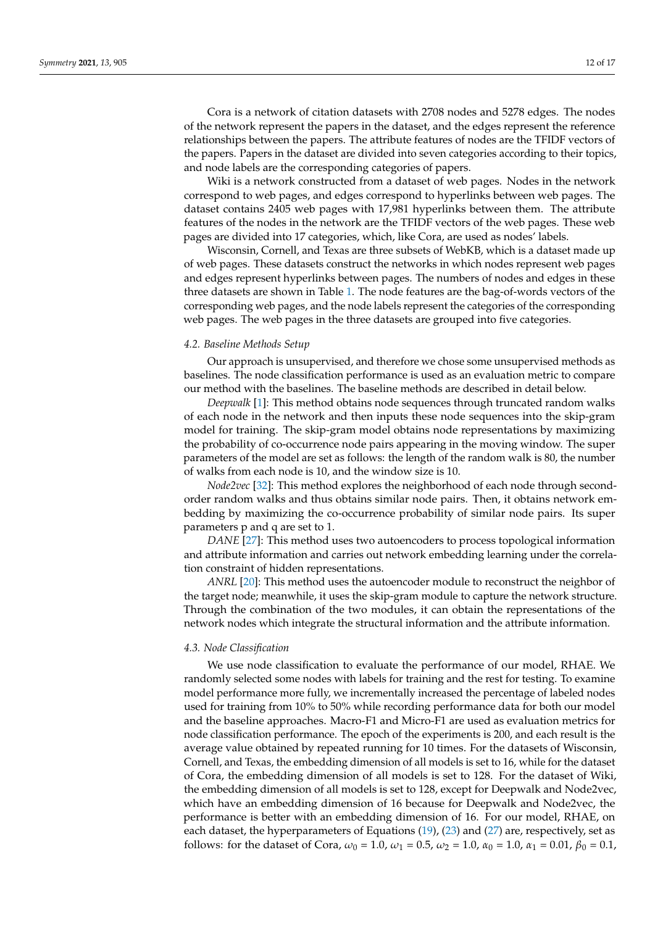Cora is a network of citation datasets with 2708 nodes and 5278 edges. The nodes of the network represent the papers in the dataset, and the edges represent the reference relationships between the papers. The attribute features of nodes are the TFIDF vectors of the papers. Papers in the dataset are divided into seven categories according to their topics, and node labels are the corresponding categories of papers.

Wiki is a network constructed from a dataset of web pages. Nodes in the network correspond to web pages, and edges correspond to hyperlinks between web pages. The dataset contains 2405 web pages with 17,981 hyperlinks between them. The attribute features of the nodes in the network are the TFIDF vectors of the web pages. These web pages are divided into 17 categories, which, like Cora, are used as nodes' labels.

Wisconsin, Cornell, and Texas are three subsets of WebKB, which is a dataset made up of web pages. These datasets construct the networks in which nodes represent web pages and edges represent hyperlinks between pages. The numbers of nodes and edges in these three datasets are shown in Table [1.](#page-10-2) The node features are the bag-of-words vectors of the corresponding web pages, and the node labels represent the categories of the corresponding web pages. The web pages in the three datasets are grouped into five categories.

## *4.2. Baseline Methods Setup*

Our approach is unsupervised, and therefore we chose some unsupervised methods as baselines. The node classification performance is used as an evaluation metric to compare our method with the baselines. The baseline methods are described in detail below.

*Deepwalk* [\[1\]](#page-15-0): This method obtains node sequences through truncated random walks of each node in the network and then inputs these node sequences into the skip-gram model for training. The skip-gram model obtains node representations by maximizing the probability of co-occurrence node pairs appearing in the moving window. The super parameters of the model are set as follows: the length of the random walk is 80, the number of walks from each node is 10, and the window size is 10.

*Node2vec* [\[32\]](#page-16-4): This method explores the neighborhood of each node through secondorder random walks and thus obtains similar node pairs. Then, it obtains network embedding by maximizing the co-occurrence probability of similar node pairs. Its super parameters p and q are set to 1.

*DANE* [\[27\]](#page-15-25): This method uses two autoencoders to process topological information and attribute information and carries out network embedding learning under the correlation constraint of hidden representations.

*ANRL* [\[20\]](#page-15-18): This method uses the autoencoder module to reconstruct the neighbor of the target node; meanwhile, it uses the skip-gram module to capture the network structure. Through the combination of the two modules, it can obtain the representations of the network nodes which integrate the structural information and the attribute information.

## <span id="page-11-0"></span>*4.3. Node Classification*

We use node classification to evaluate the performance of our model, RHAE. We randomly selected some nodes with labels for training and the rest for testing. To examine model performance more fully, we incrementally increased the percentage of labeled nodes used for training from 10% to 50% while recording performance data for both our model and the baseline approaches. Macro-F1 and Micro-F1 are used as evaluation metrics for node classification performance. The epoch of the experiments is 200, and each result is the average value obtained by repeated running for 10 times. For the datasets of Wisconsin, Cornell, and Texas, the embedding dimension of all models is set to 16, while for the dataset of Cora, the embedding dimension of all models is set to 128. For the dataset of Wiki, the embedding dimension of all models is set to 128, except for Deepwalk and Node2vec, which have an embedding dimension of 16 because for Deepwalk and Node2vec, the performance is better with an embedding dimension of 16. For our model, RHAE, on each dataset, the hyperparameters of Equations [\(19\)](#page-6-1), [\(23\)](#page-8-2) and [\(27\)](#page-10-3) are, respectively, set as follows: for the dataset of Cora,  $\omega_0 = 1.0$ ,  $\omega_1 = 0.5$ ,  $\omega_2 = 1.0$ ,  $\alpha_0 = 1.0$ ,  $\alpha_1 = 0.01$ ,  $\beta_0 = 0.1$ ,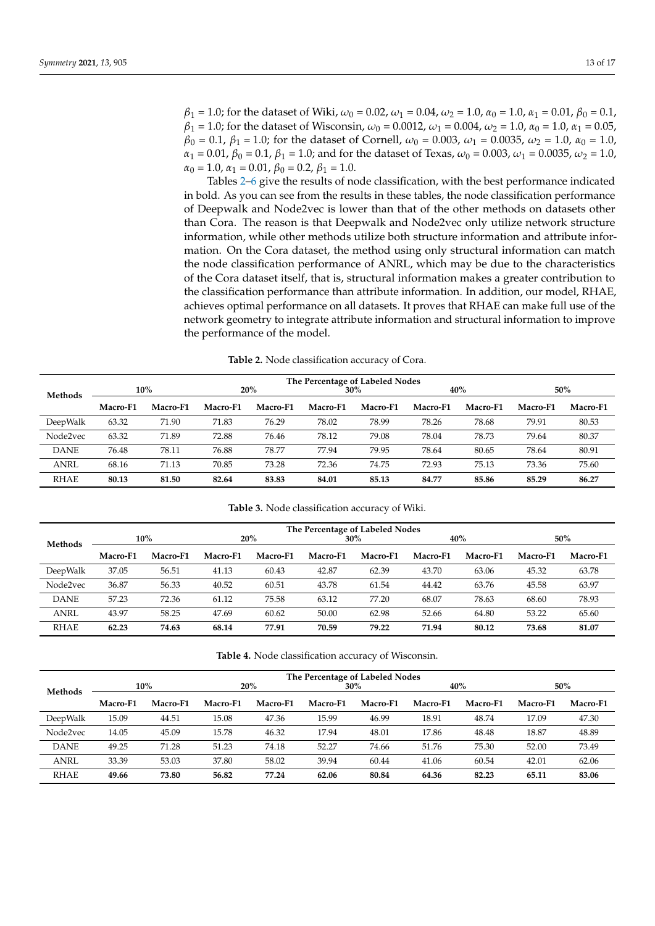*β*<sup>1</sup> = 1.0; for the dataset of Wiki, *ω*<sup>0</sup> = 0.02, *ω*<sup>1</sup> = 0.04, *ω*<sup>2</sup> = 1.0, *α*<sup>0</sup> = 1.0, *α*<sup>1</sup> = 0.01, *β*<sup>0</sup> = 0.1, *β*<sub>1</sub> = 1.0; for the dataset of Wisconsin,  $ω_0 = 0.0012$ ,  $ω_1 = 0.004$ ,  $ω_2 = 1.0$ ,  $α_0 = 1.0$ ,  $α_1 = 0.05$ , *β*<sub>0</sub> = 0.1, *β*<sub>1</sub> = 1.0; for the dataset of Cornell, *ω*<sub>0</sub> = 0.003, *ω*<sub>1</sub> = 0.0035, *ω*<sub>2</sub> = 1.0, *α*<sub>0</sub> = 1.0, *α*<sub>1</sub> = 0.01, *β*<sub>0</sub> = 0.1, *β*<sub>1</sub> = 1.0; and for the dataset of Texas, *ω*<sub>0</sub> = 0.003, *ω*<sub>1</sub> = 0.0035, *ω*<sub>2</sub> = 1.0,  $\alpha_0 = 1.0$ ,  $\alpha_1 = 0.01$ ,  $\beta_0 = 0.2$ ,  $\beta_1 = 1.0$ .

Tables [2](#page-12-0)[–6](#page-13-0) give the results of node classification, with the best performance indicated in bold. As you can see from the results in these tables, the node classification performance of Deepwalk and Node2vec is lower than that of the other methods on datasets other than Cora. The reason is that Deepwalk and Node2vec only utilize network structure information, while other methods utilize both structure information and attribute information. On the Cora dataset, the method using only structural information can match the node classification performance of ANRL, which may be due to the characteristics of the Cora dataset itself, that is, structural information makes a greater contribution to the classification performance than attribute information. In addition, our model, RHAE, achieves optimal performance on all datasets. It proves that RHAE can make full use of the network geometry to integrate attribute information and structural information to improve the performance of the model.

**Table 2.** Node classification accuracy of Cora.

<span id="page-12-0"></span>

|             |          |          | The Percentage of Labeled Nodes |          |          |          |          |                 |          |          |
|-------------|----------|----------|---------------------------------|----------|----------|----------|----------|-----------------|----------|----------|
| Methods     |          | 10%      | 20%                             |          | 30%      |          | 40%      |                 | 50%      |          |
|             | Macro-F1 | Macro-F1 | Macro-F1                        | Macro-F1 | Macro-F1 | Macro-F1 | Macro-F1 | <b>Macro-F1</b> | Macro-F1 | Macro-F1 |
| DeepWalk    | 63.32    | 71.90    | 71.83                           | 76.29    | 78.02    | 78.99    | 78.26    | 78.68           | 79.91    | 80.53    |
| Node2vec    | 63.32    | 71.89    | 72.88                           | 76.46    | 78.12    | 79.08    | 78.04    | 78.73           | 79.64    | 80.37    |
| <b>DANE</b> | 76.48    | 78.11    | 76.88                           | 78.77    | 77.94    | 79.95    | 78.64    | 80.65           | 78.64    | 80.91    |
| <b>ANRL</b> | 68.16    | 71.13    | 70.85                           | 73.28    | 72.36    | 74.75    | 72.93    | 75.13           | 73.36    | 75.60    |
| RHAE        | 80.13    | 81.50    | 82.64                           | 83.83    | 84.01    | 85.13    | 84.77    | 85.86           | 85.29    | 86.27    |

**Table 3.** Node classification accuracy of Wiki.

|                | The Percentage of Labeled Nodes |          |                 |          |          |          |          |          |          |          |
|----------------|---------------------------------|----------|-----------------|----------|----------|----------|----------|----------|----------|----------|
| <b>Methods</b> |                                 | $10\%$   |                 | 20%      |          | 30%      |          | 40%      |          | $50\%$   |
|                | Macro-F1                        | Macro-F1 | <b>Macro-F1</b> | Macro-F1 | Macro-F1 | Macro-F1 | Macro-F1 | Macro-F1 | Macro-F1 | Macro-F1 |
| DeepWalk       | 37.05                           | 56.51    | 41.13           | 60.43    | 42.87    | 62.39    | 43.70    | 63.06    | 45.32    | 63.78    |
| Node2vec       | 36.87                           | 56.33    | 40.52           | 60.51    | 43.78    | 61.54    | 44.42    | 63.76    | 45.58    | 63.97    |
| <b>DANE</b>    | 57.23                           | 72.36    | 61.12           | 75.58    | 63.12    | 77.20    | 68.07    | 78.63    | 68.60    | 78.93    |
| <b>ANRL</b>    | 43.97                           | 58.25    | 47.69           | 60.62    | 50.00    | 62.98    | 52.66    | 64.80    | 53.22    | 65.60    |
| <b>RHAE</b>    | 62.23                           | 74.63    | 68.14           | 77.91    | 70.59    | 79.22    | 71.94    | 80.12    | 73.68    | 81.07    |

| <b>Table 4.</b> Node classification accuracy of Wisconsin. |
|------------------------------------------------------------|
|------------------------------------------------------------|

|             | The Percentage of Labeled Nodes |          |          |          |          |          |          |          |          |          |  |
|-------------|---------------------------------|----------|----------|----------|----------|----------|----------|----------|----------|----------|--|
| Methods     |                                 | 10%      |          | 20%      |          | 30%      |          | 40%      |          | 50%      |  |
|             | Macro-F1                        | Macro-F1 | Macro-F1 | Macro-F1 | Macro-F1 | Macro-F1 | Macro-F1 | Macro-F1 | Macro-F1 | Macro-F1 |  |
| DeepWalk    | 15.09                           | 44.51    | 15.08    | 47.36    | 15.99    | 46.99    | 18.91    | 48.74    | 17.09    | 47.30    |  |
| Node2vec    | 14.05                           | 45.09    | 15.78    | 46.32    | 17.94    | 48.01    | 17.86    | 48.48    | 18.87    | 48.89    |  |
| <b>DANE</b> | 49.25                           | 71.28    | 51.23    | 74.18    | 52.27    | 74.66    | 51.76    | 75.30    | 52.00    | 73.49    |  |
| <b>ANRL</b> | 33.39                           | 53.03    | 37.80    | 58.02    | 39.94    | 60.44    | 41.06    | 60.54    | 42.01    | 62.06    |  |
| <b>RHAE</b> | 49.66                           | 73.80    | 56.82    | 77.24    | 62.06    | 80.84    | 64.36    | 82.23    | 65.11    | 83.06    |  |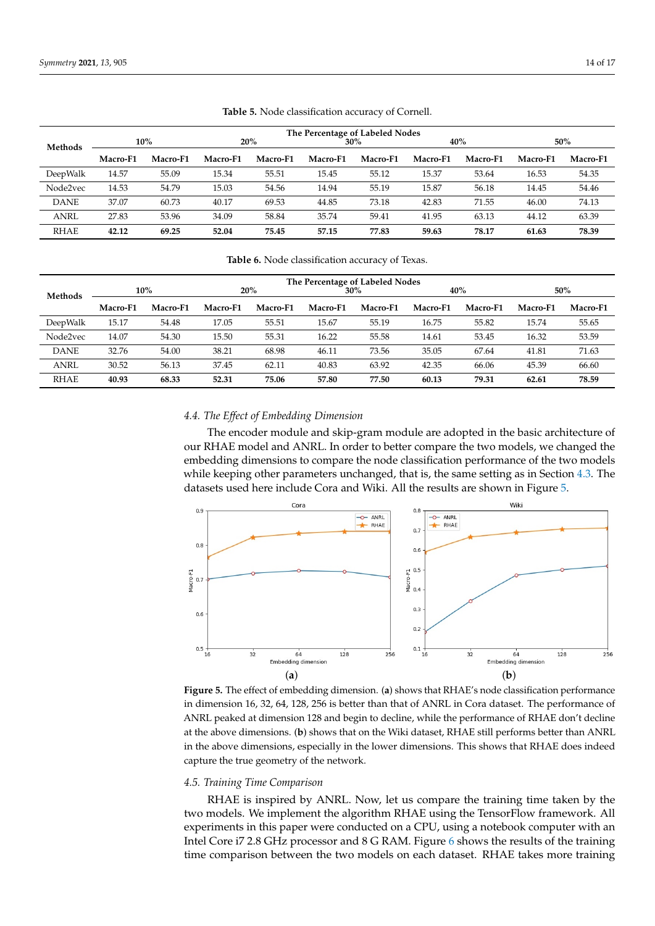| <b>Methods</b> | $10\%$   |          |          | 20%      | The Percentage of Labeled Nodes<br>$30\%$ |          | 40%      |          | 50%      |          |
|----------------|----------|----------|----------|----------|-------------------------------------------|----------|----------|----------|----------|----------|
|                | Macro-F1 | Macro-F1 | Macro-F1 | Macro-F1 | Macro-F1                                  | Macro-F1 | Macro-F1 | Macro-F1 | Macro-F1 | Macro-F1 |
| DeepWalk       | 14.57    | 55.09    | 15.34    | 55.51    | 15.45                                     | 55.12    | 15.37    | 53.64    | 16.53    | 54.35    |
| Node2vec       | 14.53    | 54.79    | 15.03    | 54.56    | 14.94                                     | 55.19    | 15.87    | 56.18    | 14.45    | 54.46    |
| <b>DANE</b>    | 37.07    | 60.73    | 40.17    | 69.53    | 44.85                                     | 73.18    | 42.83    | 71.55    | 46.00    | 74.13    |
| <b>ANRL</b>    | 27.83    | 53.96    | 34.09    | 58.84    | 35.74                                     | 59.41    | 41.95    | 63.13    | 44.12    | 63.39    |
| <b>RHAE</b>    | 42.12    | 69.25    | 52.04    | 75.45    | 57.15                                     | 77.83    | 59.63    | 78.17    | 61.63    | 78.39    |

**Table 5.** Node classification accuracy of Cornell.

**Table 6.** Node classification accuracy of Texas.

<span id="page-13-0"></span>

|             | The Percentage of Labeled Nodes |          |          |          |          |          |          |          |          |          |
|-------------|---------------------------------|----------|----------|----------|----------|----------|----------|----------|----------|----------|
| Methods     |                                 | 10%      | 20%      |          | 30%      |          | 40%      |          | 50%      |          |
|             | Macro-F1                        | Macro-F1 | Macro-F1 | Macro-F1 | Macro-F1 | Macro-F1 | Macro-F1 | Macro-F1 | Macro-F1 | Macro-F1 |
| DeepWalk    | 15.17                           | 54.48    | 17.05    | 55.51    | 15.67    | 55.19    | 16.75    | 55.82    | 15.74    | 55.65    |
| Node2vec    | 14.07                           | 54.30    | 15.50    | 55.31    | 16.22    | 55.58    | 14.61    | 53.45    | 16.32    | 53.59    |
| <b>DANE</b> | 32.76                           | 54.00    | 38.21    | 68.98    | 46.11    | 73.56    | 35.05    | 67.64    | 41.81    | 71.63    |
| <b>ANRL</b> | 30.52                           | 56.13    | 37.45    | 62.11    | 40.83    | 63.92    | 42.35    | 66.06    | 45.39    | 66.60    |
| <b>RHAE</b> | 40.93                           | 68.33    | 52.31    | 75.06    | 57.80    | 77.50    | 60.13    | 79.31    | 62.61    | 78.59    |

#### *4.4. The Effect of Embedding Dimension*

The encoder module and skip-gram module are adopted in the basic architecture of our RHAE model and ANRL. In order to better compare the two models, we changed the embedding dimensions to compare the node classification performance of the two models while keeping other parameters unchanged, that is, the same setting as in Section [4.3.](#page-11-0) The datasets used here include Cora and Wiki. All the results are shown in Figure [5.](#page-13-1)

<span id="page-13-1"></span>

**Figure 5.** The effect of embedding dimension. (**a**) shows that RHAE's node classification performance in dimension 16, 32, 64, 128, 256 is better than that of ANRL in Cora dataset. The performance of ANRL peaked at dimension 128 and begin to decline, while the performance of RHAE don't decline at the above dimensions. (**b**) shows that on the Wiki dataset, RHAE still performs better than ANRL in the above dimensions, especially in the lower dimensions. This shows that RHAE does indeed capture the true geometry of the network.

#### *4.5. Training Time Comparison*

RHAE is inspired by ANRL. Now, let us compare the training time taken by the two models. We implement the algorithm RHAE using the TensorFlow framework. All experiments in this paper were conducted on a CPU, using a notebook computer with an Intel Core i7 2.8 GHz processor and 8 G RAM. Figure [6](#page-14-1) shows the results of the training time comparison between the two models on each dataset. RHAE takes more training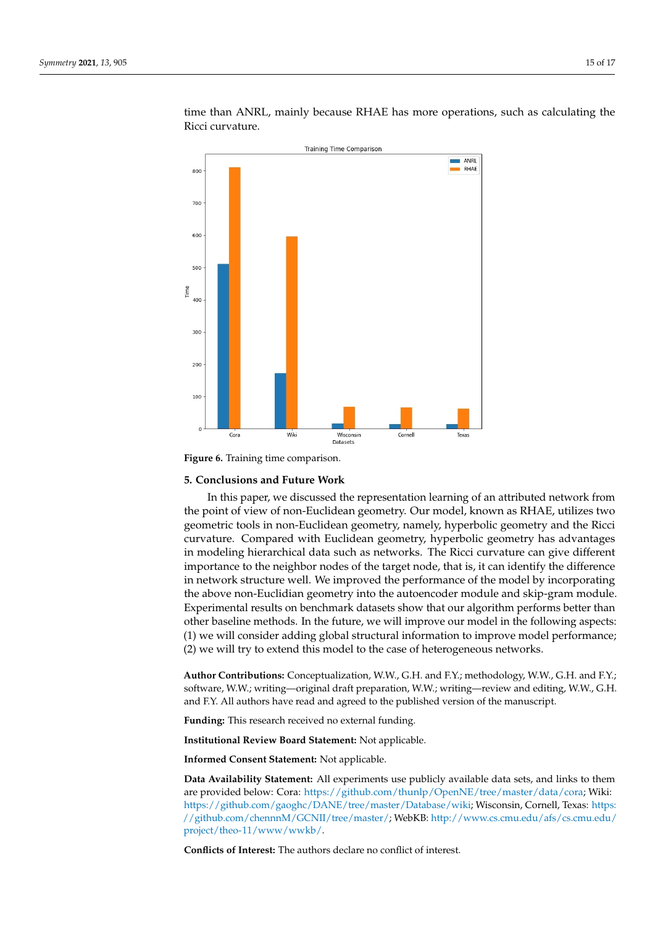<span id="page-14-1"></span>

time than ANRL, mainly because RHAE has more operations, such as calculating the Ricci curvature.

**Figure 6.** Training time comparison.

#### <span id="page-14-0"></span>**5. Conclusions and Future Work**

In this paper, we discussed the representation learning of an attributed network from the point of view of non-Euclidean geometry. Our model, known as RHAE, utilizes two geometric tools in non-Euclidean geometry, namely, hyperbolic geometry and the Ricci curvature. Compared with Euclidean geometry, hyperbolic geometry has advantages in modeling hierarchical data such as networks. The Ricci curvature can give different importance to the neighbor nodes of the target node, that is, it can identify the difference in network structure well. We improved the performance of the model by incorporating the above non-Euclidian geometry into the autoencoder module and skip-gram module. Experimental results on benchmark datasets show that our algorithm performs better than other baseline methods. In the future, we will improve our model in the following aspects: (1) we will consider adding global structural information to improve model performance; (2) we will try to extend this model to the case of heterogeneous networks.

**Author Contributions:** Conceptualization, W.W., G.H. and F.Y.; methodology, W.W., G.H. and F.Y.; software, W.W.; writing—original draft preparation, W.W.; writing—review and editing, W.W., G.H. and F.Y. All authors have read and agreed to the published version of the manuscript.

**Funding:** This research received no external funding.

**Institutional Review Board Statement:** Not applicable.

**Informed Consent Statement:** Not applicable.

**Data Availability Statement:** All experiments use publicly available data sets, and links to them are provided below: Cora: [https://github.com/thunlp/OpenNE/tree/master/data/cora;](https://github.com/thunlp/OpenNE/tree/master/data/cora) Wiki: [https://github.com/gaoghc/DANE/tree/master/Database/wiki;](https://github.com/gaoghc/DANE/tree/master/Database/wiki) Wisconsin, Cornell, Texas: [https:](https://github.com/chennnM/GCNII/tree/master/) [//github.com/chennnM/GCNII/tree/master/;](https://github.com/chennnM/GCNII/tree/master/) WebKB: [http://www.cs.cmu.edu/afs/cs.cmu.edu/](http://www.cs.cmu.edu/afs/cs.cmu.edu/project/theo-11/www/wwkb/) [project/theo-11/www/wwkb/.](http://www.cs.cmu.edu/afs/cs.cmu.edu/project/theo-11/www/wwkb/)

**Conflicts of Interest:** The authors declare no conflict of interest.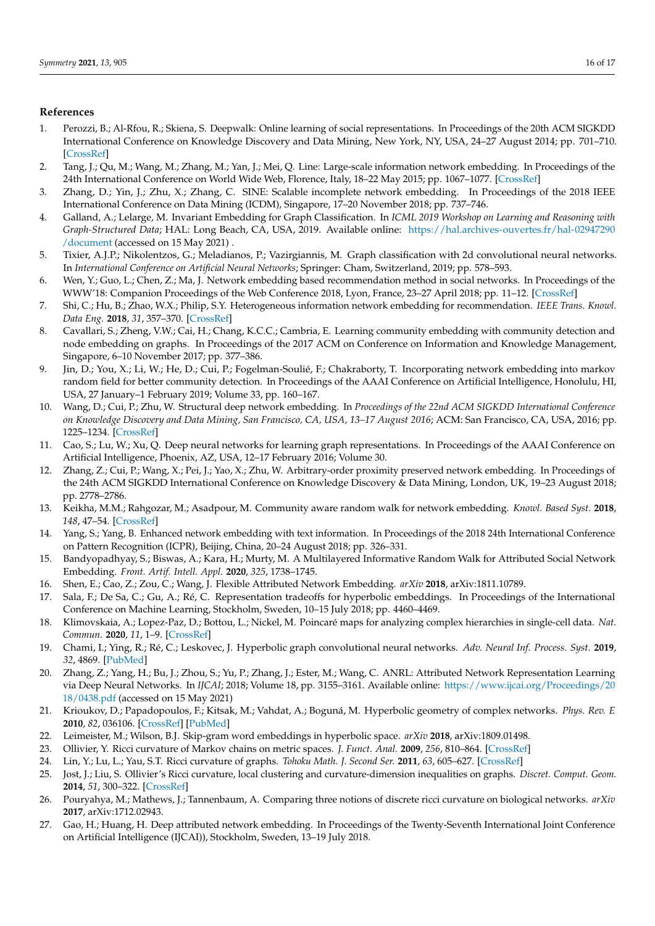# **References**

- <span id="page-15-0"></span>1. Perozzi, B.; Al-Rfou, R.; Skiena, S. Deepwalk: Online learning of social representations. In Proceedings of the 20th ACM SIGKDD International Conference on Knowledge Discovery and Data Mining, New York, NY, USA, 24–27 August 2014; pp. 701–710. [\[CrossRef\]](http://doi.org/10.1145/2623330.2623732)
- <span id="page-15-1"></span>2. Tang, J.; Qu, M.; Wang, M.; Zhang, M.; Yan, J.; Mei, Q. Line: Large-scale information network embedding. In Proceedings of the 24th International Conference on World Wide Web, Florence, Italy, 18–22 May 2015; pp. 1067–1077. [\[CrossRef\]](http://dx.doi.org/10.1145/2736277.2741093)
- <span id="page-15-2"></span>3. Zhang, D.; Yin, J.; Zhu, X.; Zhang, C. SINE: Scalable incomplete network embedding. In Proceedings of the 2018 IEEE International Conference on Data Mining (ICDM), Singapore, 17–20 November 2018; pp. 737–746.
- <span id="page-15-3"></span>4. Galland, A.; Lelarge, M. Invariant Embedding for Graph Classification. In *ICML 2019 Workshop on Learning and Reasoning with Graph-Structured Data*; HAL: Long Beach, CA, USA, 2019. Available online: [https://hal.archives-ouvertes.fr/hal-02947290](https://hal.archives-ouvertes.fr/hal-02947290/document) [/document](https://hal.archives-ouvertes.fr/hal-02947290/document) (accessed on 15 May 2021) .
- <span id="page-15-4"></span>5. Tixier, A.J.P.; Nikolentzos, G.; Meladianos, P.; Vazirgiannis, M. Graph classification with 2d convolutional neural networks. In *International Conference on Artificial Neural Networks*; Springer: Cham, Switzerland, 2019; pp. 578–593.
- <span id="page-15-5"></span>6. Wen, Y.; Guo, L.; Chen, Z.; Ma, J. Network embedding based recommendation method in social networks. In Proceedings of the WWW'18: Companion Proceedings of the Web Conference 2018, Lyon, France, 23–27 April 2018; pp. 11–12. [\[CrossRef\]](http://dx.doi.org//10.1145/3184558.3186904)
- <span id="page-15-6"></span>7. Shi, C.; Hu, B.; Zhao, W.X.; Philip, S.Y. Heterogeneous information network embedding for recommendation. *IEEE Trans. Knowl. Data Eng.* **2018**, *31*, 357–370. [\[CrossRef\]](http://dx.doi.org/10.1109/TKDE.2018.2833443)
- <span id="page-15-7"></span>8. Cavallari, S.; Zheng, V.W.; Cai, H.; Chang, K.C.C.; Cambria, E. Learning community embedding with community detection and node embedding on graphs. In Proceedings of the 2017 ACM on Conference on Information and Knowledge Management, Singapore, 6–10 November 2017; pp. 377–386.
- <span id="page-15-8"></span>9. Jin, D.; You, X.; Li, W.; He, D.; Cui, P.; Fogelman-Soulié, F.; Chakraborty, T. Incorporating network embedding into markov random field for better community detection. In Proceedings of the AAAI Conference on Artificial Intelligence, Honolulu, HI, USA, 27 January–1 February 2019; Volume 33, pp. 160–167.
- <span id="page-15-9"></span>10. Wang, D.; Cui, P.; Zhu, W. Structural deep network embedding. In *Proceedings of the 22nd ACM SIGKDD International Conference on Knowledge Discovery and Data Mining, San Francisco, CA, USA, 13–17 August 2016*; ACM: San Francisco, CA, USA, 2016; pp. 1225–1234. [\[CrossRef\]](http://dx.doi.org/10.1145/2939672.2939753)
- <span id="page-15-10"></span>11. Cao, S.; Lu, W.; Xu, Q. Deep neural networks for learning graph representations. In Proceedings of the AAAI Conference on Artificial Intelligence, Phoenix, AZ, USA, 12–17 February 2016; Volume 30.
- <span id="page-15-11"></span>12. Zhang, Z.; Cui, P.; Wang, X.; Pei, J.; Yao, X.; Zhu, W. Arbitrary-order proximity preserved network embedding. In Proceedings of the 24th ACM SIGKDD International Conference on Knowledge Discovery & Data Mining, London, UK, 19–23 August 2018; pp. 2778–2786.
- <span id="page-15-12"></span>13. Keikha, M.M.; Rahgozar, M.; Asadpour, M. Community aware random walk for network embedding. *Knowl. Based Syst.* **2018**, *148*, 47–54. [\[CrossRef\]](http://dx.doi.org/10.1016/j.knosys.2018.02.028)
- <span id="page-15-13"></span>14. Yang, S.; Yang, B. Enhanced network embedding with text information. In Proceedings of the 2018 24th International Conference on Pattern Recognition (ICPR), Beijing, China, 20–24 August 2018; pp. 326–331.
- <span id="page-15-14"></span>15. Bandyopadhyay, S.; Biswas, A.; Kara, H.; Murty, M. A Multilayered Informative Random Walk for Attributed Social Network Embedding. *Front. Artif. Intell. Appl.* **2020**, *325*, 1738–1745.
- <span id="page-15-15"></span>16. Shen, E.; Cao, Z.; Zou, C.; Wang, J. Flexible Attributed Network Embedding. *arXiv* **2018**, arXiv:1811.10789.
- <span id="page-15-16"></span>17. Sala, F.; De Sa, C.; Gu, A.; Ré, C. Representation tradeoffs for hyperbolic embeddings. In Proceedings of the International Conference on Machine Learning, Stockholm, Sweden, 10–15 July 2018; pp. 4460–4469.
- 18. Klimovskaia, A.; Lopez-Paz, D.; Bottou, L.; Nickel, M. Poincaré maps for analyzing complex hierarchies in single-cell data. *Nat. Commun.* **2020**, *11*, 1–9. [\[CrossRef\]](http://dx.doi.org/10.1038/s41467-020-16822-4)
- <span id="page-15-17"></span>19. Chami, I.; Ying, R.; Ré, C.; Leskovec, J. Hyperbolic graph convolutional neural networks. *Adv. Neural Inf. Process. Syst.* **2019**, *32*, 4869. [\[PubMed\]](http://www.ncbi.nlm.nih.gov/pubmed/32256024)
- <span id="page-15-18"></span>20. Zhang, Z.; Yang, H.; Bu, J.; Zhou, S.; Yu, P.; Zhang, J.; Ester, M.; Wang, C. ANRL: Attributed Network Representation Learning via Deep Neural Networks. In *IJCAI*; 2018; Volume 18, pp. 3155–3161. Available online: [https://www.ijcai.org/Proceedings/20](https://www.ijcai.org/Proceedings/2018/0438.pdf) [18/0438.pdf](https://www.ijcai.org/Proceedings/2018/0438.pdf) (accessed on 15 May 2021)
- <span id="page-15-19"></span>21. Krioukov, D.; Papadopoulos, F.; Kitsak, M.; Vahdat, A.; Boguná, M. Hyperbolic geometry of complex networks. *Phys. Rev. E* **2010**, *82*, 036106. [\[CrossRef\]](http://dx.doi.org/10.1103/PhysRevE.82.036106) [\[PubMed\]](http://www.ncbi.nlm.nih.gov/pubmed/21230138)
- <span id="page-15-20"></span>22. Leimeister, M.; Wilson, B.J. Skip-gram word embeddings in hyperbolic space. *arXiv* **2018**, arXiv:1809.01498.
- <span id="page-15-21"></span>23. Ollivier, Y. Ricci curvature of Markov chains on metric spaces. *J. Funct. Anal.* **2009**, *256*, 810–864. [\[CrossRef\]](http://dx.doi.org/10.1016/j.jfa.2008.11.001)
- <span id="page-15-22"></span>24. Lin, Y.; Lu, L.; Yau, S.T. Ricci curvature of graphs. *Tohoku Math. J. Second Ser.* **2011**, *63*, 605–627. [\[CrossRef\]](http://dx.doi.org/10.2748/tmj/1325886283)
- <span id="page-15-23"></span>25. Jost, J.; Liu, S. Ollivier's Ricci curvature, local clustering and curvature-dimension inequalities on graphs. *Discret. Comput. Geom.* **2014**, *51*, 300–322. [\[CrossRef\]](http://dx.doi.org/10.1007/s00454-013-9558-1)
- <span id="page-15-24"></span>26. Pouryahya, M.; Mathews, J.; Tannenbaum, A. Comparing three notions of discrete ricci curvature on biological networks. *arXiv* **2017**, arXiv:1712.02943.
- <span id="page-15-25"></span>27. Gao, H.; Huang, H. Deep attributed network embedding. In Proceedings of the Twenty-Seventh International Joint Conference on Artificial Intelligence (IJCAI)), Stockholm, Sweden, 13–19 July 2018.